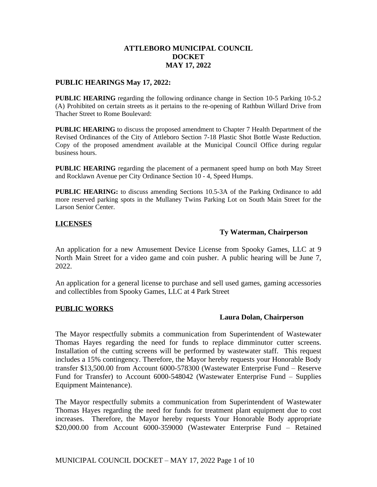## **ATTLEBORO MUNICIPAL COUNCIL DOCKET MAY 17, 2022**

#### **PUBLIC HEARINGS May 17, 2022:**

**PUBLIC HEARING** regarding the following ordinance change in Section 10-5 Parking 10-5.2 (A) Prohibited on certain streets as it pertains to the re-opening of Rathbun Willard Drive from Thacher Street to Rome Boulevard:

**PUBLIC HEARING** to discuss the proposed amendment to Chapter 7 Health Department of the Revised Ordinances of the City of Attleboro Section 7-18 Plastic Shot Bottle Waste Reduction. Copy of the proposed amendment available at the Municipal Council Office during regular business hours.

**PUBLIC HEARING** regarding the placement of a permanent speed hump on both May Street and Rocklawn Avenue per City Ordinance Section 10 - 4, Speed Humps.

**PUBLIC HEARING:** to discuss amending Sections 10.5-3A of the Parking Ordinance to add more reserved parking spots in the Mullaney Twins Parking Lot on South Main Street for the Larson Senior Center.

## **LICENSES**

## **Ty Waterman, Chairperson**

An application for a new Amusement Device License from Spooky Games, LLC at 9 North Main Street for a video game and coin pusher. A public hearing will be June 7, 2022.

An application for a general license to purchase and sell used games, gaming accessories and collectibles from Spooky Games, LLC at 4 Park Street

#### **PUBLIC WORKS**

#### **Laura Dolan, Chairperson**

The Mayor respectfully submits a communication from Superintendent of Wastewater Thomas Hayes regarding the need for funds to replace dimminutor cutter screens. Installation of the cutting screens will be performed by wastewater staff. This request includes a 15% contingency. Therefore, the Mayor hereby requests your Honorable Body transfer \$13,500.00 from Account 6000-578300 (Wastewater Enterprise Fund – Reserve Fund for Transfer) to Account 6000-548042 (Wastewater Enterprise Fund – Supplies Equipment Maintenance).

The Mayor respectfully submits a communication from Superintendent of Wastewater Thomas Hayes regarding the need for funds for treatment plant equipment due to cost increases. Therefore, the Mayor hereby requests Your Honorable Body appropriate \$20,000.00 from Account 6000-359000 (Wastewater Enterprise Fund – Retained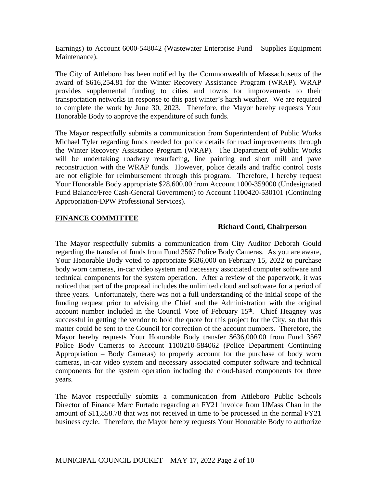Earnings) to Account 6000-548042 (Wastewater Enterprise Fund – Supplies Equipment Maintenance).

The City of Attleboro has been notified by the Commonwealth of Massachusetts of the award of \$616,254.81 for the Winter Recovery Assistance Program (WRAP). WRAP provides supplemental funding to cities and towns for improvements to their transportation networks in response to this past winter's harsh weather. We are required to complete the work by June 30, 2023. Therefore, the Mayor hereby requests Your Honorable Body to approve the expenditure of such funds.

The Mayor respectfully submits a communication from Superintendent of Public Works Michael Tyler regarding funds needed for police details for road improvements through the Winter Recovery Assistance Program (WRAP). The Department of Public Works will be undertaking roadway resurfacing, line painting and short mill and pave reconstruction with the WRAP funds. However, police details and traffic control costs are not eligible for reimbursement through this program. Therefore, I hereby request Your Honorable Body appropriate \$28,600.00 from Account 1000-359000 (Undesignated Fund Balance/Free Cash-General Government) to Account 1100420-530101 (Continuing Appropriation-DPW Professional Services).

# **FINANCE COMMITTEE**

## **Richard Conti, Chairperson**

The Mayor respectfully submits a communication from City Auditor Deborah Gould regarding the transfer of funds from Fund 3567 Police Body Cameras. As you are aware, Your Honorable Body voted to appropriate \$636,000 on February 15, 2022 to purchase body worn cameras, in-car video system and necessary associated computer software and technical components for the system operation. After a review of the paperwork, it was noticed that part of the proposal includes the unlimited cloud and software for a period of three years. Unfortunately, there was not a full understanding of the initial scope of the funding request prior to advising the Chief and the Administration with the original account number included in the Council Vote of February 15<sup>th</sup>. Chief Heagney was successful in getting the vendor to hold the quote for this project for the City, so that this matter could be sent to the Council for correction of the account numbers. Therefore, the Mayor hereby requests Your Honorable Body transfer \$636,000.00 from Fund 3567 Police Body Cameras to Account 1100210-584062 (Police Department Continuing Appropriation – Body Cameras) to properly account for the purchase of body worn cameras, in-car video system and necessary associated computer software and technical components for the system operation including the cloud-based components for three years.

The Mayor respectfully submits a communication from Attleboro Public Schools Director of Finance Marc Furtado regarding an FY21 invoice from UMass Chan in the amount of \$11,858.78 that was not received in time to be processed in the normal FY21 business cycle. Therefore, the Mayor hereby requests Your Honorable Body to authorize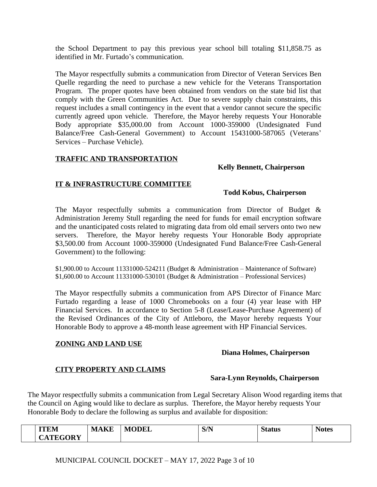the School Department to pay this previous year school bill totaling \$11,858.75 as identified in Mr. Furtado's communication.

The Mayor respectfully submits a communication from Director of Veteran Services Ben Quelle regarding the need to purchase a new vehicle for the Veterans Transportation Program. The proper quotes have been obtained from vendors on the state bid list that comply with the Green Communities Act. Due to severe supply chain constraints, this request includes a small contingency in the event that a vendor cannot secure the specific currently agreed upon vehicle. Therefore, the Mayor hereby requests Your Honorable Body appropriate \$35,000.00 from Account 1000-359000 (Undesignated Fund Balance/Free Cash-General Government) to Account 15431000-587065 (Veterans' Services – Purchase Vehicle).

# **TRAFFIC AND TRANSPORTATION**

## **Kelly Bennett, Chairperson**

# **IT & INFRASTRUCTURE COMMITTEE**

## **Todd Kobus, Chairperson**

The Mayor respectfully submits a communication from Director of Budget  $\&$ Administration Jeremy Stull regarding the need for funds for email encryption software and the unanticipated costs related to migrating data from old email servers onto two new servers. Therefore, the Mayor hereby requests Your Honorable Body appropriate \$3,500.00 from Account 1000-359000 (Undesignated Fund Balance/Free Cash-General Government) to the following:

\$1,900.00 to Account 11331000-524211 (Budget & Administration – Maintenance of Software)  $$1,600.00$  to Account 11331000-530101 (Budget & Administration – Professional Services)

The Mayor respectfully submits a communication from APS Director of Finance Marc Furtado regarding a lease of 1000 Chromebooks on a four (4) year lease with HP Financial Services. In accordance to Section 5-8 (Lease/Lease-Purchase Agreement) of the Revised Ordinances of the City of Attleboro, the Mayor hereby requests Your Honorable Body to approve a 48-month lease agreement with HP Financial Services.

# **ZONING AND LAND USE**

## **Diana Holmes, Chairperson**

# **CITY PROPERTY AND CLAIMS**

## **Sara-Lynn Reynolds, Chairperson**

The Mayor respectfully submits a communication from Legal Secretary Alison Wood regarding items that the Council on Aging would like to declare as surplus. Therefore, the Mayor hereby requests Your Honorable Body to declare the following as surplus and available for disposition:

| ITITA<br>UEM                                   | T/T<br>M/ | <b>ODEL</b><br>IV. | S/N | $\sim$<br>t LLN | Notes |
|------------------------------------------------|-----------|--------------------|-----|-----------------|-------|
| $\mathbf{a}$<br>$\sim$<br><b>CATEG</b><br>''K) |           |                    |     |                 |       |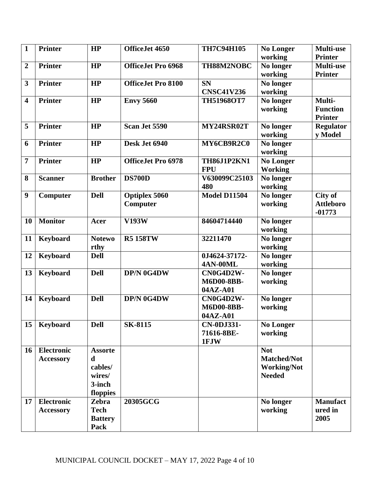| $\mathbf{1}$            | <b>Printer</b>    | HP             | OfficeJet 4650            | <b>TH7C94H105</b>   | <b>No Longer</b>   | Multi-use        |
|-------------------------|-------------------|----------------|---------------------------|---------------------|--------------------|------------------|
|                         |                   |                |                           |                     | working            | <b>Printer</b>   |
| $\boldsymbol{2}$        | <b>Printer</b>    | HP             | <b>OfficeJet Pro 6968</b> | TH88M2NOBC          | No longer          | <b>Multi-use</b> |
|                         |                   |                |                           |                     | working            | <b>Printer</b>   |
| $\overline{\mathbf{3}}$ | <b>Printer</b>    | HP             | <b>OfficeJet Pro 8100</b> | <b>SN</b>           | No longer          |                  |
|                         |                   |                |                           | <b>CNSC41V236</b>   | working            |                  |
| $\overline{\mathbf{4}}$ | <b>Printer</b>    | HP             | <b>Envy 5660</b>          | <b>TH51968OT7</b>   | No longer          | Multi-           |
|                         |                   |                |                           |                     | working            | <b>Function</b>  |
|                         |                   |                |                           |                     |                    | <b>Printer</b>   |
| 5                       | <b>Printer</b>    | HP             | Scan Jet 5590             | MY24RSR02T          | No longer          | <b>Regulator</b> |
|                         |                   |                |                           |                     | working            | y Model          |
| 6                       | <b>Printer</b>    | HP             | Desk Jet 6940             | MY6CB9R2C0          | No longer          |                  |
|                         |                   |                |                           |                     | working            |                  |
| $\overline{7}$          | <b>Printer</b>    | HP             | <b>OfficeJet Pro 6978</b> | TH86J1P2KN1         | <b>No Longer</b>   |                  |
|                         |                   |                |                           | <b>FPU</b>          | <b>Working</b>     |                  |
| 8                       | <b>Scanner</b>    | <b>Brother</b> | <b>DS700D</b>             | V630099C25103       | No longer          |                  |
|                         |                   |                |                           | 480                 | working            |                  |
| $\boldsymbol{9}$        | Computer          | <b>Dell</b>    | <b>Optiplex 5060</b>      | <b>Model D11504</b> | No longer          | City of          |
|                         |                   |                | Computer                  |                     | working            | <b>Attleboro</b> |
|                         |                   |                |                           |                     |                    | $-01773$         |
| 10                      | <b>Monitor</b>    | Acer           | <b>V193W</b>              | 84604714440         | No longer          |                  |
|                         |                   |                |                           |                     | working            |                  |
| 11                      | <b>Keyboard</b>   | <b>Notewo</b>  | <b>R5 158TW</b>           | 32211470            | No longer          |                  |
|                         |                   | rthy           |                           |                     | working            |                  |
| 12                      | <b>Keyboard</b>   | <b>Dell</b>    |                           | 0J4624-37172-       | No longer          |                  |
|                         |                   |                |                           | <b>4AN-00ML</b>     | working            |                  |
| 13                      | Keyboard          | <b>Dell</b>    | DP/N 0G4DW                | CN0G4D2W-           | No longer          |                  |
|                         |                   |                |                           | M6D00-8BB-          | working            |                  |
|                         |                   |                |                           | 04AZ-A01            |                    |                  |
| 14                      | Keyboard          | <b>Dell</b>    | DP/N 0G4DW                | CN0G4D2W-           | No longer          |                  |
|                         |                   |                |                           | M6D00-8BB-          | working            |                  |
|                         |                   |                |                           | 04AZ-A01            |                    |                  |
| 15                      | Keyboard          | <b>Dell</b>    | <b>SK-8115</b>            | <b>CN-0DJ331-</b>   | <b>No Longer</b>   |                  |
|                         |                   |                |                           | 71616-8BE-          | working            |                  |
|                         |                   |                |                           | 1FJW                |                    |                  |
| 16                      | Electronic        | <b>Assorte</b> |                           |                     | <b>Not</b>         |                  |
|                         | <b>Accessory</b>  | d              |                           |                     | <b>Matched/Not</b> |                  |
|                         |                   | cables/        |                           |                     | <b>Working/Not</b> |                  |
|                         |                   | wires/         |                           |                     | <b>Needed</b>      |                  |
|                         |                   | 3-inch         |                           |                     |                    |                  |
|                         |                   | floppies       |                           |                     |                    |                  |
| 17                      | <b>Electronic</b> | Zebra          | 20305GCG                  |                     | No longer          | <b>Manufact</b>  |
|                         | <b>Accessory</b>  | <b>Tech</b>    |                           |                     | working            | ured in          |
|                         |                   | <b>Battery</b> |                           |                     |                    | 2005             |
|                         |                   | Pack           |                           |                     |                    |                  |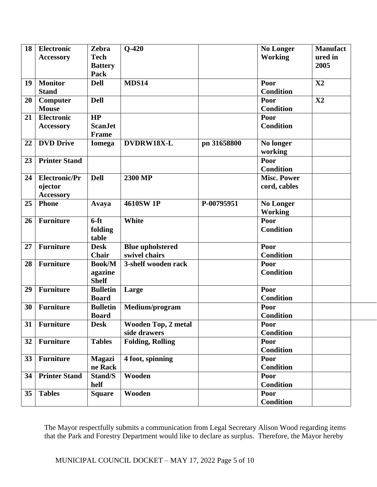| 18 | <b>Electronic</b>    | <b>Zebra</b>    | $Q-420$                    |             | <b>No Longer</b>   | <b>Manufact</b> |
|----|----------------------|-----------------|----------------------------|-------------|--------------------|-----------------|
|    | <b>Accessory</b>     | <b>Tech</b>     |                            |             | <b>Working</b>     | ured in         |
|    |                      | <b>Battery</b>  |                            |             |                    | 2005            |
|    |                      | Pack            |                            |             |                    |                 |
| 19 | <b>Monitor</b>       | <b>Dell</b>     | <b>MDS14</b>               |             | Poor               | X2              |
|    | <b>Stand</b>         |                 |                            |             | <b>Condition</b>   |                 |
| 20 | Computer             | <b>Dell</b>     |                            |             | Poor               | X2              |
|    | <b>Mouse</b>         |                 |                            |             | <b>Condition</b>   |                 |
| 21 | <b>Electronic</b>    | HP              |                            |             | Poor               |                 |
|    | <b>Accessory</b>     | <b>ScanJet</b>  |                            |             | <b>Condition</b>   |                 |
|    |                      | Frame           |                            |             |                    |                 |
| 22 | <b>DVD</b> Drive     | <b>Iomega</b>   | DVDRW18X-L                 | pn 31658800 | No longer          |                 |
|    |                      |                 |                            |             | working            |                 |
| 23 | <b>Printer Stand</b> |                 |                            |             | Poor               |                 |
|    |                      |                 |                            |             | <b>Condition</b>   |                 |
| 24 | <b>Electronic/Pr</b> | <b>Dell</b>     | 2300 MP                    |             | <b>Misc. Power</b> |                 |
|    | ojector              |                 |                            |             | cord, cables       |                 |
|    | <b>Accessory</b>     |                 |                            |             |                    |                 |
| 25 | Phone                | Avaya           | <b>4610SW 1P</b>           | P-00795951  | <b>No Longer</b>   |                 |
|    |                      |                 |                            |             | <b>Working</b>     |                 |
| 26 | <b>Furniture</b>     | $6-ft$          | White                      |             | Poor               |                 |
|    |                      | folding         |                            |             | <b>Condition</b>   |                 |
|    |                      | table           |                            |             |                    |                 |
| 27 | Furniture            | <b>Desk</b>     | <b>Blue upholstered</b>    |             | Poor               |                 |
|    |                      | <b>Chair</b>    | swivel chairs              |             | <b>Condition</b>   |                 |
| 28 | <b>Furniture</b>     | <b>Book/M</b>   | 3-shelf wooden rack        |             | Poor               |                 |
|    |                      | agazine         |                            |             | <b>Condition</b>   |                 |
|    |                      | <b>Shelf</b>    |                            |             |                    |                 |
| 29 | <b>Furniture</b>     | <b>Bulletin</b> | Large                      |             | Poor               |                 |
|    |                      | <b>Board</b>    |                            |             | <b>Condition</b>   |                 |
| 30 | <b>Furniture</b>     | <b>Bulletin</b> | Medium/program             |             | Poor               |                 |
|    |                      | <b>Board</b>    |                            |             | <b>Condition</b>   |                 |
| 31 | <b>Furniture</b>     | <b>Desk</b>     | <b>Wooden Top, 2 metal</b> |             | Poor               |                 |
|    |                      |                 | side drawers               |             | <b>Condition</b>   |                 |
| 32 | <b>Furniture</b>     | <b>Tables</b>   | <b>Folding, Rolling</b>    |             | Poor               |                 |
|    |                      |                 |                            |             | <b>Condition</b>   |                 |
| 33 | <b>Furniture</b>     | <b>Magazi</b>   | 4 foot, spinning           |             | Poor               |                 |
|    |                      | ne Rack         |                            |             | <b>Condition</b>   |                 |
| 34 | <b>Printer Stand</b> | Stand/S         | Wooden                     |             | Poor               |                 |
|    |                      | helf            |                            |             | <b>Condition</b>   |                 |
| 35 | <b>Tables</b>        | <b>Square</b>   | Wooden                     |             | Poor               |                 |
|    |                      |                 |                            |             | <b>Condition</b>   |                 |

The Mayor respectfully submits a communication from Legal Secretary Alison Wood regarding items that the Park and Forestry Department would like to declare as surplus. Therefore, the Mayor hereby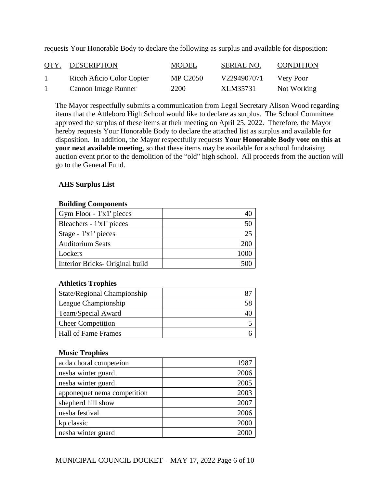| <u>OTY.</u> | <b>DESCRIPTION</b>        | <b>MODEL</b>    | SERIAL NO.  | <b>CONDITION</b> |
|-------------|---------------------------|-----------------|-------------|------------------|
|             | Ricoh Aficio Color Copier | <b>MP C2050</b> | V2294907071 | Very Poor        |
|             | Cannon Image Runner       | 2200            | XLM35731    | Not Working      |

requests Your Honorable Body to declare the following as surplus and available for disposition:

The Mayor respectfully submits a communication from Legal Secretary Alison Wood regarding items that the Attleboro High School would like to declare as surplus. The School Committee approved the surplus of these items at their meeting on April 25, 2022. Therefore, the Mayor hereby requests Your Honorable Body to declare the attached list as surplus and available for disposition. In addition, the Mayor respectfully requests **Your Honorable Body vote on this at your next available meeting**, so that these items may be available for a school fundraising auction event prior to the demolition of the "old" high school. All proceeds from the auction will go to the General Fund.

# **AHS Surplus List**

## **Building Components**

| Gym Floor - 1'x1' pieces        |    |
|---------------------------------|----|
| Bleachers - 1'x1' pieces        |    |
| Stage - 1'x1' pieces            | 25 |
| <b>Auditorium Seats</b>         |    |
| Lockers                         |    |
| Interior Bricks- Original build |    |

# **Athletics Trophies**

| State/Regional Championship |  |
|-----------------------------|--|
| League Championship         |  |
| Team/Special Award          |  |
| <b>Cheer Competition</b>    |  |
| Hall of Fame Frames         |  |
|                             |  |

# **Music Trophies**

| acda choral competeion      | 1987 |
|-----------------------------|------|
| nesba winter guard          | 2006 |
| nesba winter guard          | 2005 |
| apponequet nema competition | 2003 |
| shepherd hill show          | 2007 |
| nesba festival              | 2006 |
| kp classic                  | 2000 |
| nesba winter guard          |      |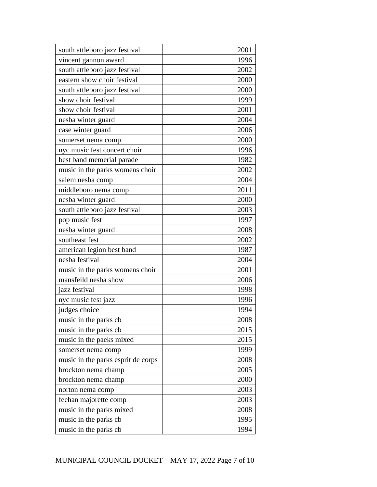| south attleboro jazz festival      | 2001 |
|------------------------------------|------|
| vincent gannon award               | 1996 |
| south attleboro jazz festival      | 2002 |
| eastern show choir festival        | 2000 |
| south attleboro jazz festival      | 2000 |
| show choir festival                | 1999 |
| show choir festival                | 2001 |
| nesba winter guard                 | 2004 |
| case winter guard                  | 2006 |
| somerset nema comp                 | 2000 |
| nyc music fest concert choir       | 1996 |
| best band memerial parade          | 1982 |
| music in the parks womens choir    | 2002 |
| salem nesba comp                   | 2004 |
| middleboro nema comp               | 2011 |
| nesba winter guard                 | 2000 |
| south attleboro jazz festival      | 2003 |
| pop music fest                     | 1997 |
| nesba winter guard                 | 2008 |
| southeast fest                     | 2002 |
| american legion best band          | 1987 |
| nesba festival                     | 2004 |
| music in the parks womens choir    | 2001 |
| mansfeild nesba show               | 2006 |
| jazz festival                      | 1998 |
| nyc music fest jazz                | 1996 |
| judges choice                      | 1994 |
| music in the parks cb              | 2008 |
| music in the parks cb.             | 2015 |
| music in the paeks mixed           | 2015 |
| somerset nema comp                 | 1999 |
| music in the parks esprit de corps | 2008 |
| brockton nema champ                | 2005 |
| brockton nema champ                | 2000 |
| norton nema comp                   | 2003 |
| feehan majorette comp              | 2003 |
| music in the parks mixed           | 2008 |
| music in the parks cb              | 1995 |
| music in the parks cb              | 1994 |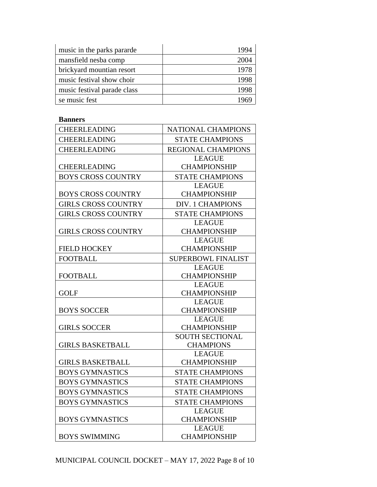| music in the parks pararde  |      |
|-----------------------------|------|
| mansfield nesba comp        | 2004 |
| brickyard mountian resort   |      |
| music festival show choir   |      |
| music festival parade class |      |
| se music fest               |      |

## **Banners**

| <b>CHEERLEADING</b>        | <b>NATIONAL CHAMPIONS</b>            |
|----------------------------|--------------------------------------|
| <b>CHEERLEADING</b>        | <b>STATE CHAMPIONS</b>               |
| <b>CHEERLEADING</b>        | <b>REGIONAL CHAMPIONS</b>            |
|                            | <b>LEAGUE</b>                        |
| <b>CHEERLEADING</b>        | <b>CHAMPIONSHIP</b>                  |
| <b>BOYS CROSS COUNTRY</b>  | <b>STATE CHAMPIONS</b>               |
|                            | <b>LEAGUE</b>                        |
| <b>BOYS CROSS COUNTRY</b>  | <b>CHAMPIONSHIP</b>                  |
| <b>GIRLS CROSS COUNTRY</b> | <b>DIV. 1 CHAMPIONS</b>              |
| <b>GIRLS CROSS COUNTRY</b> | <b>STATE CHAMPIONS</b>               |
|                            | <b>LEAGUE</b>                        |
| <b>GIRLS CROSS COUNTRY</b> | <b>CHAMPIONSHIP</b>                  |
|                            | <b>LEAGUE</b>                        |
| <b>FIELD HOCKEY</b>        | <b>CHAMPIONSHIP</b>                  |
| <b>FOOTBALL</b>            | <b>SUPERBOWL FINALIST</b>            |
|                            | <b>LEAGUE</b>                        |
| <b>FOOTBALL</b>            | <b>CHAMPIONSHIP</b>                  |
|                            | <b>LEAGUE</b>                        |
| <b>GOLF</b>                | <b>CHAMPIONSHIP</b>                  |
| <b>BOYS SOCCER</b>         | <b>LEAGUE</b><br><b>CHAMPIONSHIP</b> |
|                            | <b>LEAGUE</b>                        |
| <b>GIRLS SOCCER</b>        | <b>CHAMPIONSHIP</b>                  |
|                            | <b>SOUTH SECTIONAL</b>               |
| <b>GIRLS BASKETBALL</b>    | <b>CHAMPIONS</b>                     |
|                            | <b>LEAGUE</b>                        |
| <b>GIRLS BASKETBALL</b>    | <b>CHAMPIONSHIP</b>                  |
| <b>BOYS GYMNASTICS</b>     | <b>STATE CHAMPIONS</b>               |
| <b>BOYS GYMNASTICS</b>     | <b>STATE CHAMPIONS</b>               |
| <b>BOYS GYMNASTICS</b>     | <b>STATE CHAMPIONS</b>               |
| <b>BOYS GYMNASTICS</b>     | <b>STATE CHAMPIONS</b>               |
|                            | <b>LEAGUE</b>                        |
| <b>BOYS GYMNASTICS</b>     | <b>CHAMPIONSHIP</b>                  |
|                            | <b>LEAGUE</b>                        |
| <b>BOYS SWIMMING</b>       | <b>CHAMPIONSHIP</b>                  |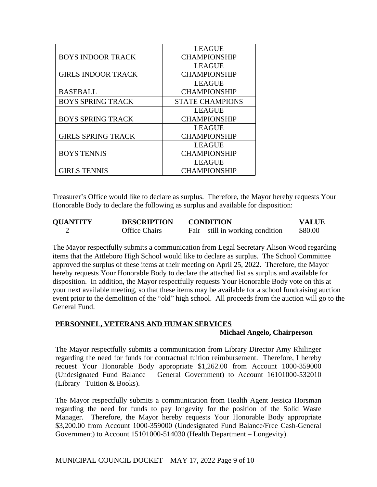|                           | <b>LEAGUE</b>          |
|---------------------------|------------------------|
| <b>BOYS INDOOR TRACK</b>  | <b>CHAMPIONSHIP</b>    |
|                           | <b>LEAGUE</b>          |
| <b>GIRLS INDOOR TRACK</b> | <b>CHAMPIONSHIP</b>    |
|                           | <b>LEAGUE</b>          |
| <b>BASEBALL</b>           | <b>CHAMPIONSHIP</b>    |
| <b>BOYS SPRING TRACK</b>  | <b>STATE CHAMPIONS</b> |
|                           | <b>LEAGUE</b>          |
| <b>BOYS SPRING TRACK</b>  | <b>CHAMPIONSHIP</b>    |
|                           | <b>LEAGUE</b>          |
| <b>GIRLS SPRING TRACK</b> | <b>CHAMPIONSHIP</b>    |
|                           | <b>LEAGUE</b>          |
| <b>BOYS TENNIS</b>        | <b>CHAMPIONSHIP</b>    |
|                           | <b>LEAGUE</b>          |
| <b>GIRLS TENNIS</b>       | <b>CHAMPIONSHIP</b>    |

Treasurer's Office would like to declare as surplus. Therefore, the Mayor hereby requests Your Honorable Body to declare the following as surplus and available for disposition:

| <b>OUANTITY</b> | <b>DESCRIPTION</b>   | <b>CONDITION</b>                    | <b>VALUE</b> |
|-----------------|----------------------|-------------------------------------|--------------|
|                 | <b>Office Chairs</b> | Fair $-$ still in working condition | \$80.00      |

The Mayor respectfully submits a communication from Legal Secretary Alison Wood regarding items that the Attleboro High School would like to declare as surplus. The School Committee approved the surplus of these items at their meeting on April 25, 2022. Therefore, the Mayor hereby requests Your Honorable Body to declare the attached list as surplus and available for disposition. In addition, the Mayor respectfully requests Your Honorable Body vote on this at your next available meeting, so that these items may be available for a school fundraising auction event prior to the demolition of the "old" high school. All proceeds from the auction will go to the General Fund.

## **PERSONNEL, VETERANS AND HUMAN SERVICES**

#### **Michael Angelo, Chairperson**

The Mayor respectfully submits a communication from Library Director Amy Rhilinger regarding the need for funds for contractual tuition reimbursement. Therefore, I hereby request Your Honorable Body appropriate \$1,262.00 from Account 1000-359000 (Undesignated Fund Balance – General Government) to Account 16101000-532010 (Library –Tuition & Books).

The Mayor respectfully submits a communication from Health Agent Jessica Horsman regarding the need for funds to pay longevity for the position of the Solid Waste Manager. Therefore, the Mayor hereby requests Your Honorable Body appropriate \$3,200.00 from Account 1000-359000 (Undesignated Fund Balance/Free Cash-General Government) to Account 15101000-514030 (Health Department – Longevity).